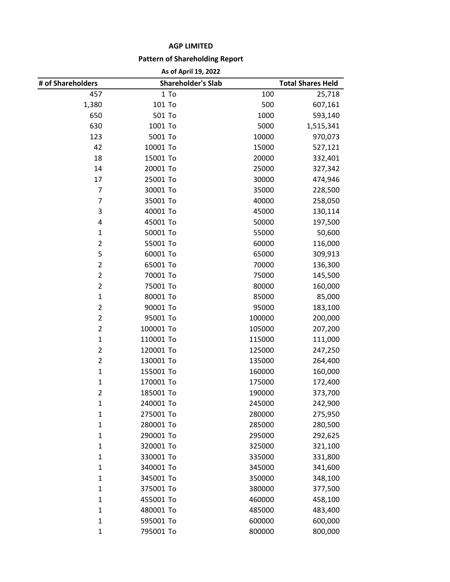## **AGP LIMITED**

## **Pattern of Shareholding Report**

| As of April 19, 2022 |
|----------------------|
|----------------------|

| # of Shareholders | <b>Shareholder's Slab</b> |        | <b>Total Shares Held</b> |  |
|-------------------|---------------------------|--------|--------------------------|--|
| 457               | 1 To                      | 100    | 25,718                   |  |
| 1,380             | 101 To                    | 500    | 607,161                  |  |
| 650               | 501 To                    | 1000   | 593,140                  |  |
| 630               | 1001 To                   | 5000   | 1,515,341                |  |
| 123               | 5001 To                   | 10000  | 970,073                  |  |
| 42                | 10001 To                  | 15000  | 527,121                  |  |
| 18                | 15001 To                  | 20000  | 332,401                  |  |
| 14                | 20001 To                  | 25000  | 327,342                  |  |
| 17                | 25001 To                  | 30000  | 474,946                  |  |
| $\overline{7}$    | 30001 To                  | 35000  | 228,500                  |  |
| $\overline{7}$    | 35001 To                  | 40000  | 258,050                  |  |
| 3                 | 40001 To                  | 45000  | 130,114                  |  |
| 4                 | 45001 To                  | 50000  | 197,500                  |  |
| 1                 | 50001 To                  | 55000  | 50,600                   |  |
| $\overline{2}$    | 55001 To                  | 60000  | 116,000                  |  |
| 5                 | 60001 To                  | 65000  | 309,913                  |  |
| $\overline{2}$    | 65001 To                  | 70000  | 136,300                  |  |
| $\overline{2}$    | 70001 To                  | 75000  | 145,500                  |  |
| $\overline{2}$    | 75001 To                  | 80000  | 160,000                  |  |
| $\mathbf{1}$      | 80001 To                  | 85000  | 85,000                   |  |
| $\overline{2}$    | 90001 To                  | 95000  | 183,100                  |  |
| $\overline{2}$    | 95001 To                  | 100000 | 200,000                  |  |
| $\overline{2}$    | 100001 To                 | 105000 | 207,200                  |  |
| $\mathbf{1}$      | 110001 To                 | 115000 | 111,000                  |  |
| $\overline{2}$    | 120001 To                 | 125000 | 247,250                  |  |
| $\overline{2}$    | 130001 To                 | 135000 | 264,400                  |  |
| $\mathbf{1}$      | 155001 To                 | 160000 | 160,000                  |  |
| $\mathbf{1}$      | 170001 To                 | 175000 | 172,400                  |  |
| $\overline{2}$    | 185001 To                 | 190000 | 373,700                  |  |
| 1                 | 240001 To                 | 245000 | 242,900                  |  |
| $\mathbf 1$       | 275001 To                 | 280000 | 275,950                  |  |
| $\mathbf{1}$      | 280001 To                 | 285000 | 280,500                  |  |
| $\mathbf{1}$      | 290001 To                 | 295000 | 292,625                  |  |
| $\mathbf{1}$      | 320001 To                 | 325000 | 321,100                  |  |
| 1                 | 330001 To                 | 335000 | 331,800                  |  |
| $\mathbf{1}$      | 340001 To                 | 345000 | 341,600                  |  |
| $\mathbf{1}$      | 345001 To                 | 350000 | 348,100                  |  |
| $\mathbf{1}$      | 375001 To                 | 380000 | 377,500                  |  |
| $\mathbf{1}$      | 455001 To                 | 460000 | 458,100                  |  |
| 1                 | 480001 To                 | 485000 | 483,400                  |  |
| $\mathbf{1}$      | 595001 To                 | 600000 | 600,000                  |  |
| $\mathbf{1}$      | 795001 To                 | 800000 | 800,000                  |  |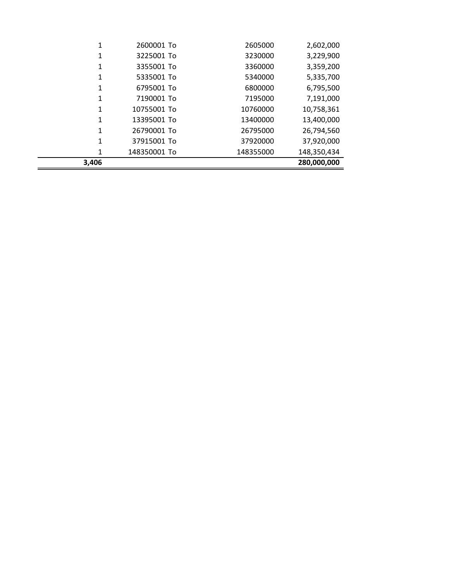| 3,406 |              |           | 280,000,000 |
|-------|--------------|-----------|-------------|
| 1     | 148350001 To | 148355000 | 148,350,434 |
| 1     | 37915001 To  | 37920000  | 37,920,000  |
| 1     | 26790001 To  | 26795000  | 26,794,560  |
| 1     | 13395001 To  | 13400000  | 13,400,000  |
| 1     | 10755001 To  | 10760000  | 10,758,361  |
| 1     | 7190001 To   | 7195000   | 7,191,000   |
| 1     | 6795001 To   | 6800000   | 6,795,500   |
|       | 5335001 To   | 5340000   | 5,335,700   |
| 1     | 3355001 To   | 3360000   | 3,359,200   |
| 1     | 3225001 To   | 3230000   | 3,229,900   |
|       | 2600001 To   | 2605000   | 2,602,000   |